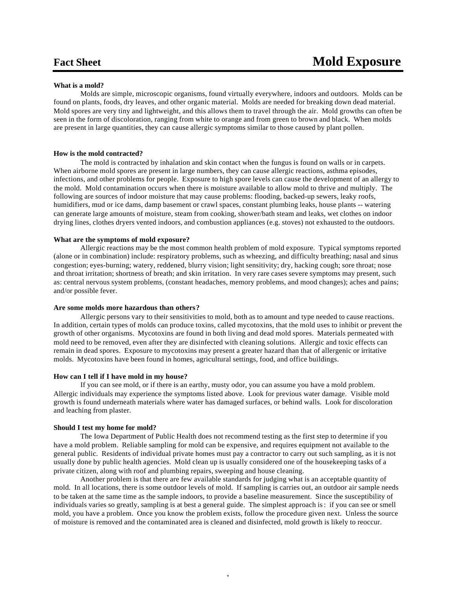# **What is a mold?**

Molds are simple, microscopic organisms, found virtually everywhere, indoors and outdoors. Molds can be found on plants, foods, dry leaves, and other organic material. Molds are needed for breaking down dead material. Mold spores are very tiny and lightweight, and this allows them to travel through the air. Mold growths can often be seen in the form of discoloration, ranging from white to orange and from green to brown and black. When molds are present in large quantities, they can cause allergic symptoms similar to those caused by plant pollen.

## **How is the mold contracted?**

The mold is contracted by inhalation and skin contact when the fungus is found on walls or in carpets. When airborne mold spores are present in large numbers, they can cause allergic reactions, asthma episodes, infections, and other problems for people. Exposure to high spore levels can cause the development of an allergy to the mold. Mold contamination occurs when there is moisture available to allow mold to thrive and multiply. The following are sources of indoor moisture that may cause problems: flooding, backed-up sewers, leaky roofs, humidifiers, mud or ice dams, damp basement or crawl spaces, constant plumbing leaks, house plants -- watering can generate large amounts of moisture, steam from cooking, shower/bath steam and leaks, wet clothes on indoor drying lines, clothes dryers vented indoors, and combustion appliances (e.g. stoves) not exhausted to the outdoors.

#### **What are the symptoms of mold exposure?**

Allergic reactions may be the most common health problem of mold exposure. Typical symptoms reported (alone or in combination) include: respiratory problems, such as wheezing, and difficulty breathing; nasal and sinus congestion; eyes-burning; watery, reddened, blurry vision; light sensitivity; dry, hacking cough; sore throat; nose and throat irritation; shortness of breath; and skin irritation. In very rare cases severe symptoms may present, such as: central nervous system problems, (constant headaches, memory problems, and mood changes); aches and pains; and/or possible fever.

## **Are some molds more hazardous than others?**

Allergic persons vary to their sensitivities to mold, both as to amount and type needed to cause reactions. In addition, certain types of molds can produce toxins, called mycotoxins, that the mold uses to inhibit or prevent the growth of other organisms. Mycotoxins are found in both living and dead mold spores. Materials permeated with mold need to be removed, even after they are disinfected with cleaning solutions. Allergic and toxic effects can remain in dead spores. Exposure to mycotoxins may present a greater hazard than that of allergenic or irritative molds. Mycotoxins have been found in homes, agricultural settings, food, and office buildings.

### **How can I tell if I have mold in my house?**

If you can see mold, or if there is an earthy, musty odor, you can assume you have a mold problem. Allergic individuals may experience the symptoms listed above. Look for previous water damage. Visible mold growth is found underneath materials where water has damaged surfaces, or behind walls. Look for discoloration and leaching from plaster.

## **Should I test my home for mold?**

The Iowa Department of Public Health does not recommend testing as the first step to determine if you have a mold problem. Reliable sampling for mold can be expensive, and requires equipment not available to the general public. Residents of individual private homes must pay a contractor to carry out such sampling, as it is not usually done by public health agencies. Mold clean up is usually considered one of the housekeeping tasks of a private citizen, along with roof and plumbing repairs, sweeping and house cleaning.

Another problem is that there are few available standards for judging what is an acceptable quantity of mold. In all locations, there is some outdoor levels of mold. If sampling is carries out, an outdoor air sample needs to be taken at the same time as the sample indoors, to provide a baseline measurement. Since the susceptibility of individuals varies so greatly, sampling is at best a general guide. The simplest approach is: if you can see or smell mold, you have a problem. Once you know the problem exists, follow the procedure given next. Unless the source of moisture is removed and the contaminated area is cleaned and disinfected, mold growth is likely to reoccur.

1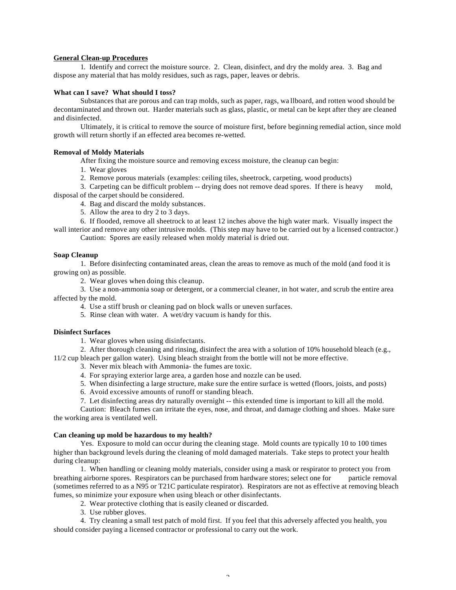## **General Clean-up Procedures**

1.Identify and correct the moisture source. 2. Clean, disinfect, and dry the moldy area. 3. Bag and dispose any material that has moldy residues, such as rags, paper, leaves or debris.

## **What can I save? What should I toss?**

Substances that are porous and can trap molds, such as paper, rags, wa llboard, and rotten wood should be decontaminated and thrown out. Harder materials such as glass, plastic, or metal can be kept after they are cleaned and disinfected.

Ultimately, it is critical to remove the source of moisture first, before beginning remedial action, since mold growth will return shortly if an effected area becomes re-wetted.

# **Removal of Moldy Materials**

After fixing the moisture source and removing excess moisture, the cleanup can begin:

- 1. Wear gloves
- 2. Remove porous materials (examples: ceiling tiles, sheetrock, carpeting, wood products)

3. Carpeting can be difficult problem -- drying does not remove dead spores. If there is heavy mold, disposal of the carpet should be considered.

4. Bag and discard the moldy substances.

5. Allow the area to dry 2 to 3 days.

6. If flooded, remove all sheetrock to at least 12 inches above the high water mark. Visually inspect the wall interior and remove any other intrusive molds. (This step may have to be carried out by a licensed contractor.)

Caution: Spores are easily released when moldy material is dried out.

### **Soap Cleanup**

1. Before disinfecting contaminated areas, clean the areas to remove as much of the mold (and food it is growing on) as possible.

2. Wear gloves when doing this cleanup.

3. Use a non-ammonia soap or detergent, or a commercial cleaner, in hot water, and scrub the entire area affected by the mold.

- 4. Use a stiff brush or cleaning pad on block walls or uneven surfaces.
- 5. Rinse clean with water. A wet/dry vacuum is handy for this.

#### **Disinfect Surfaces**

1. Wear gloves when using disinfectants.

2. After thorough cleaning and rinsing, disinfect the area with a solution of 10% household bleach (e.g.,

11/2 cup bleach per gallon water). Using bleach straight from the bottle will not be more effective.

3. Never mix bleach with Ammonia- the fumes are toxic.

- 4. For spraying exterior large area, a garden hose and nozzle can be used.
- 5. When disinfecting a large structure, make sure the entire surface is wetted (floors, joists, and posts)
- 6. Avoid excessive amounts of runoff or standing bleach.
- 7. Let disinfecting areas dry naturally overnight -- this extended time is important to kill all the mold.

Caution: Bleach fumes can irritate the eyes, nose, and throat, and damage clothing and shoes. Make sure the working area is ventilated well.

#### **Can cleaning up mold be hazardous to my health?**

Yes. Exposure to mold can occur during the cleaning stage. Mold counts are typically 10 to 100 times higher than background levels during the cleaning of mold damaged materials. Take steps to protect your health during cleanup:

1. When handling or cleaning moldy materials, consider using a mask or respirator to protect you from breathing airborne spores. Respirators can be purchased from hardware stores; select one for particle removal (sometimes referred to as a N95 or T21C particulate respirator). Respirators are not as effective at removing bleach fumes, so minimize your exposure when using bleach or other disinfectants.

- 2. Wear protective clothing that is easily cleaned or discarded.
- 3. Use rubber gloves.

4. Try cleaning a small test patch of mold first. If you feel that this adversely affected you health, you should consider paying a licensed contractor or professional to carry out the work.